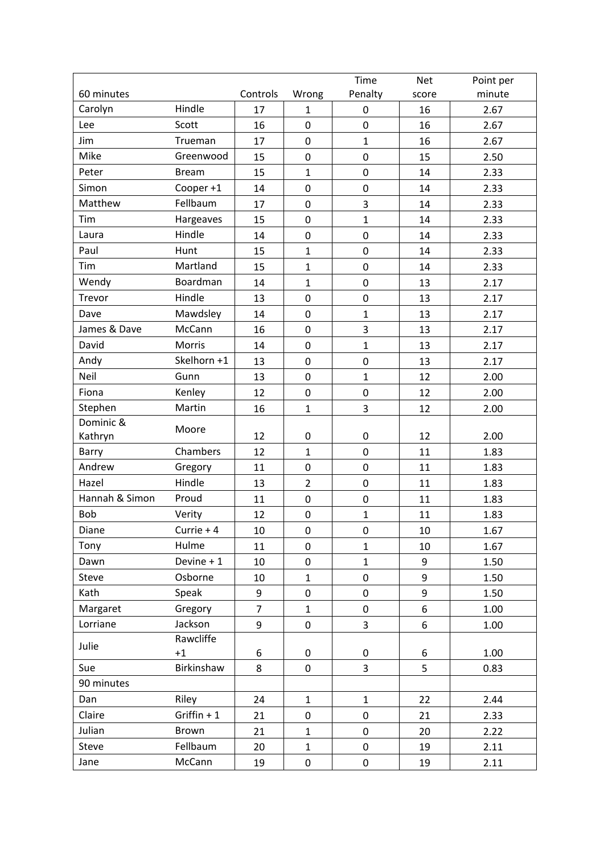|                |              |                |                  | Time             | <b>Net</b> | Point per |
|----------------|--------------|----------------|------------------|------------------|------------|-----------|
| 60 minutes     |              | Controls       | Wrong            | Penalty          | score      | minute    |
| Carolyn        | Hindle       | 17             | $\mathbf{1}$     | 0                | 16         | 2.67      |
| Lee            | Scott        | 16             | $\mathbf 0$      | $\mathbf 0$      | 16         | 2.67      |
| Jim            | Trueman      | 17             | $\pmb{0}$        | $\mathbf{1}$     | 16         | 2.67      |
| Mike           | Greenwood    | 15             | $\mathbf 0$      | $\mathbf 0$      | 15         | 2.50      |
| Peter          | <b>Bream</b> | 15             | $\mathbf{1}$     | $\boldsymbol{0}$ | 14         | 2.33      |
| Simon          | Cooper +1    | 14             | $\mathbf 0$      | $\mathbf 0$      | 14         | 2.33      |
| Matthew        | Fellbaum     | 17             | $\mathbf 0$      | 3                | 14         | 2.33      |
| Tim            | Hargeaves    | 15             | $\pmb{0}$        | $\mathbf{1}$     | 14         | 2.33      |
| Laura          | Hindle       | 14             | $\mathbf 0$      | $\mathbf 0$      | 14         | 2.33      |
| Paul           | Hunt         | 15             | $\mathbf{1}$     | $\boldsymbol{0}$ | 14         | 2.33      |
| Tim            | Martland     | 15             | $\mathbf{1}$     | $\boldsymbol{0}$ | 14         | 2.33      |
| Wendy          | Boardman     | 14             | $\mathbf{1}$     | $\boldsymbol{0}$ | 13         | 2.17      |
| Trevor         | Hindle       | 13             | $\mathbf 0$      | $\boldsymbol{0}$ | 13         | 2.17      |
| Dave           | Mawdsley     | 14             | $\pmb{0}$        | $\mathbf{1}$     | 13         | 2.17      |
| James & Dave   | McCann       | 16             | $\pmb{0}$        | $\overline{3}$   | 13         | 2.17      |
| David          | Morris       | 14             | $\mathbf 0$      | $\mathbf{1}$     | 13         | 2.17      |
| Andy           | Skelhorn +1  | 13             | $\mathbf 0$      | $\boldsymbol{0}$ | 13         | 2.17      |
| Neil           | Gunn         | 13             | $\mathbf 0$      | $\overline{1}$   | 12         | 2.00      |
| Fiona          | Kenley       | 12             | $\pmb{0}$        | $\pmb{0}$        | 12         | 2.00      |
| Stephen        | Martin       | 16             | $\mathbf{1}$     | 3                | 12         | 2.00      |
| Dominic &      |              |                |                  |                  |            |           |
| Kathryn        | Moore        | 12             | $\pmb{0}$        | 0                | 12         | 2.00      |
| Barry          | Chambers     | 12             | $\mathbf{1}$     | $\mathbf 0$      | 11         | 1.83      |
| Andrew         | Gregory      | 11             | $\pmb{0}$        | $\boldsymbol{0}$ | 11         | 1.83      |
| Hazel          | Hindle       | 13             | $\overline{2}$   | $\boldsymbol{0}$ | 11         | 1.83      |
| Hannah & Simon | Proud        | 11             | $\pmb{0}$        | $\pmb{0}$        | 11         | 1.83      |
| Bob            | Verity       | 12             | $\boldsymbol{0}$ | $\mathbf{1}$     | 11         | 1.83      |
| Diane          | Currie $+4$  | 10             | $\pmb{0}$        | $\boldsymbol{0}$ | $10\,$     | 1.67      |
| Tony           | Hulme        | 11             | $\mathbf 0$      | $\mathbf{1}$     | 10         | 1.67      |
| Dawn           | Devine $+1$  | 10             | $\mathbf 0$      | $\mathbf{1}$     | 9          | 1.50      |
| Steve          | Osborne      | 10             | $\mathbf{1}$     | $\pmb{0}$        | 9          | 1.50      |
| Kath           | Speak        | 9              | $\pmb{0}$        | $\pmb{0}$        | 9          | 1.50      |
| Margaret       | Gregory      | $\overline{7}$ | $\mathbf{1}$     | $\pmb{0}$        | 6          | 1.00      |
| Lorriane       | Jackson      | 9              | $\mathbf 0$      | 3                | 6          | 1.00      |
| Julie          | Rawcliffe    |                |                  |                  |            |           |
|                | $+1$         | 6              | $\mathbf 0$      | 0                | 6          | 1.00      |
| Sue            | Birkinshaw   | 8              | $\mathbf 0$      | 3                | 5          | 0.83      |
| 90 minutes     |              |                |                  |                  |            |           |
| Dan            | Riley        | 24             | $\mathbf{1}$     | $\mathbf{1}$     | 22         | 2.44      |
| Claire         | Griffin $+1$ | 21             | $\pmb{0}$        | $\pmb{0}$        | 21         | 2.33      |
| Julian         | Brown        | 21             | $\mathbf{1}$     | $\pmb{0}$        | 20         | 2.22      |
| Steve          | Fellbaum     | 20             | $\mathbf{1}$     | $\mathbf 0$      | 19         | 2.11      |
| Jane           | McCann       | 19             | 0                | $\pmb{0}$        | 19         | 2.11      |